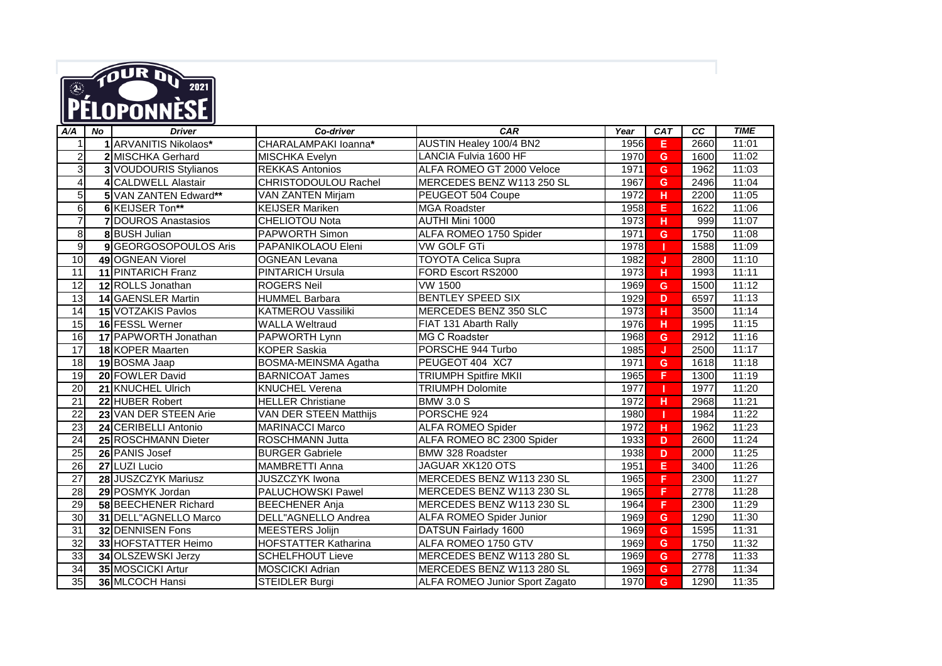

| A/A             | <b>No</b> | <b>Driver</b>             | Co-driver                   | <b>CAR</b>                            | Year | <b>CAT</b> | <b>CC</b> | <b>TIME</b> |
|-----------------|-----------|---------------------------|-----------------------------|---------------------------------------|------|------------|-----------|-------------|
|                 |           | 1 ARVANITIS Nikolaos*     | CHARALAMPAKI loanna*        | AUSTIN Healey 100/4 BN2               | 1956 | Е          | 2660      | 11:01       |
| $\overline{c}$  |           | 2 MISCHKA Gerhard         | <b>MISCHKA Evelyn</b>       | LANCIA Fulvia 1600 HF                 | 1970 | G          | 1600      | 11:02       |
| $\mathbf{3}$    |           | 3 VOUDOURIS Stylianos     | <b>REKKAS Antonios</b>      | ALFA ROMEO GT 2000 Veloce             | 1971 | G          | 1962      | 11:03       |
| $\overline{4}$  |           | 4 CALDWELL Alastair       | CHRISTODOULOU Rachel        | MERCEDES BENZ W113 250 SL             | 1967 | G          | 2496      | 11:04       |
| $5\overline{)}$ |           | 5 VAN ZANTEN Edward**     | VAN ZANTEN Mirjam           | PEUGEOT 504 Coupe                     | 1972 | H          | 2200      | 11:05       |
| 6               |           | 6 KEIJSER Ton**           | <b>KEIJSER Mariken</b>      | <b>MGA Roadster</b>                   | 1958 | Е          | 1622      | 11:06       |
| $\overline{7}$  |           | <b>7DOUROS Anastasios</b> | <b>CHELIOTOU Nota</b>       | <b>AUTHI Mini 1000</b>                | 1973 | н          | 999       | 11:07       |
| $\overline{8}$  |           | 8 BUSH Julian             | <b>PAPWORTH Simon</b>       | ALFA ROMEO 1750 Spider                | 1971 | G          | 1750      | 11:08       |
| 9               |           | 9 GEORGOSOPOULOS Aris     | PAPANIKOLAOU Eleni          | <b>VW GOLF GTi</b>                    | 1978 | п          | 1588      | 11:09       |
| 10              |           | 49 OGNEAN Viorel          | <b>OGNEAN Levana</b>        | <b>TOYOTA Celica Supra</b>            | 1982 | IJ         | 2800      | 11:10       |
| 11              |           | 11 PINTARICH Franz        | <b>PINTARICH Ursula</b>     | FORD Escort RS2000                    | 1973 | н          | 1993      | 11:11       |
| $\overline{12}$ |           | 12 ROLLS Jonathan         | <b>ROGERS Neil</b>          | <b>VW 1500</b>                        | 1969 | G          | 1500      | 11:12       |
| 13              |           | <b>14 GAENSLER Martin</b> | <b>HUMMEL Barbara</b>       | <b>BENTLEY SPEED SIX</b>              | 1929 | D.         | 6597      | 11:13       |
| 14              |           | 15 VOTZAKIS Pavlos        | KATMEROU Vassiliki          | MERCEDES BENZ 350 SLC                 | 1973 | н          | 3500      | 11:14       |
| 15              |           | 16 FESSL Werner           | <b>WALLA Weltraud</b>       | FIAT 131 Abarth Rally                 | 1976 | н          | 1995      | 11:15       |
| 16              |           | 17 PAPWORTH Jonathan      | PAPWORTH Lynn               | <b>MG C Roadster</b>                  | 1968 | G          | 2912      | 11:16       |
| $\overline{17}$ |           | 18 KOPER Maarten          | <b>KOPER Saskia</b>         | PORSCHE 944 Turbo                     | 1985 | J          | 2500      | 11:17       |
| 18              |           | 19 BOSMA Jaap             | BOSMA-MEINSMA Agatha        | PEUGEOT 404 XC7                       | 1971 | G          | 1618      | 11:18       |
| $\overline{19}$ |           | 20 FOWLER David           | <b>BARNICOAT James</b>      | <b>TRIUMPH Spitfire MKII</b>          | 1965 | F          | 1300      | 11:19       |
| $\overline{20}$ |           | 21 KNUCHEL Ulrich         | <b>KNUCHEL Verena</b>       | <b>TRIUMPH Dolomite</b>               | 1977 |            | 1977      | 11:20       |
| 21              |           | 22 HUBER Robert           | <b>HELLER Christiane</b>    | <b>BMW 3.0 S</b>                      | 1972 | H          | 2968      | 11:21       |
| $\overline{22}$ |           | 23 VAN DER STEEN Arie     | VAN DER STEEN Matthijs      | PORSCHE 924                           | 1980 |            | 1984      | 11:22       |
| 23              |           | 24 CERIBELLI Antonio      | <b>MARINACCI Marco</b>      | <b>ALFA ROMEO Spider</b>              | 1972 | H          | 1962      | 11:23       |
| 24              |           | 25 ROSCHMANN Dieter       | ROSCHMANN Jutta             | ALFA ROMEO 8C 2300 Spider             | 1933 | D          | 2600      | 11:24       |
| $\overline{25}$ |           | 26 PANIS Josef            | <b>BURGER Gabriele</b>      | BMW 328 Roadster                      | 1938 | D          | 2000      | 11:25       |
| $\overline{26}$ |           | 27 LUZI Lucio             | MAMBRETTI Anna              | JAGUAR XK120 OTS                      | 1951 | Е          | 3400      | 11:26       |
| $\overline{27}$ |           | 28 JUSZCZYK Mariusz       | <b>JUSZCZYK Iwona</b>       | MERCEDES BENZ W113 230 SL             | 1965 | F          | 2300      | 11:27       |
| 28              |           | 29 POSMYK Jordan          | <b>PALUCHOWSKI Pawel</b>    | MERCEDES BENZ W113 230 SL             | 1965 | F          | 2778      | 11:28       |
| $\overline{29}$ |           | 58 BEECHENER Richard      | <b>BEECHENER Anja</b>       | MERCEDES BENZ W113 230 SL             | 1964 | F          | 2300      | 11:29       |
| $\overline{30}$ |           | 31 DELL"AGNELLO Marco     | DELL"AGNELLO Andrea         | <b>ALFA ROMEO Spider Junior</b>       | 1969 | G          | 1290      | 11:30       |
| 31              |           | 32 DENNISEN Fons          | <b>MEESTERS Jolijn</b>      | DATSUN Fairlady 1600                  | 1969 | G          | 1595      | 11:31       |
| 32              |           | 33 HOFSTATTER Heimo       | <b>HOFSTATTER Katharina</b> | ALFA ROMEO 1750 GTV                   | 1969 | G          | 1750      | 11:32       |
| $\overline{33}$ |           | 34 OLSZEWSKI Jerzy        | <b>SCHELFHOUT Lieve</b>     | MERCEDES BENZ W113 280 SL             | 1969 | G          | 2778      | 11:33       |
| 34              |           | 35 MOSCICKI Artur         | <b>MOSCICKI Adrian</b>      | MERCEDES BENZ W113 280 SL             | 1969 | G          | 2778      | 11:34       |
| 35              |           | 36 MLCOCH Hansi           | <b>STEIDLER Burgi</b>       | <b>ALFA ROMEO Junior Sport Zagato</b> | 1970 | G          | 1290      | 11:35       |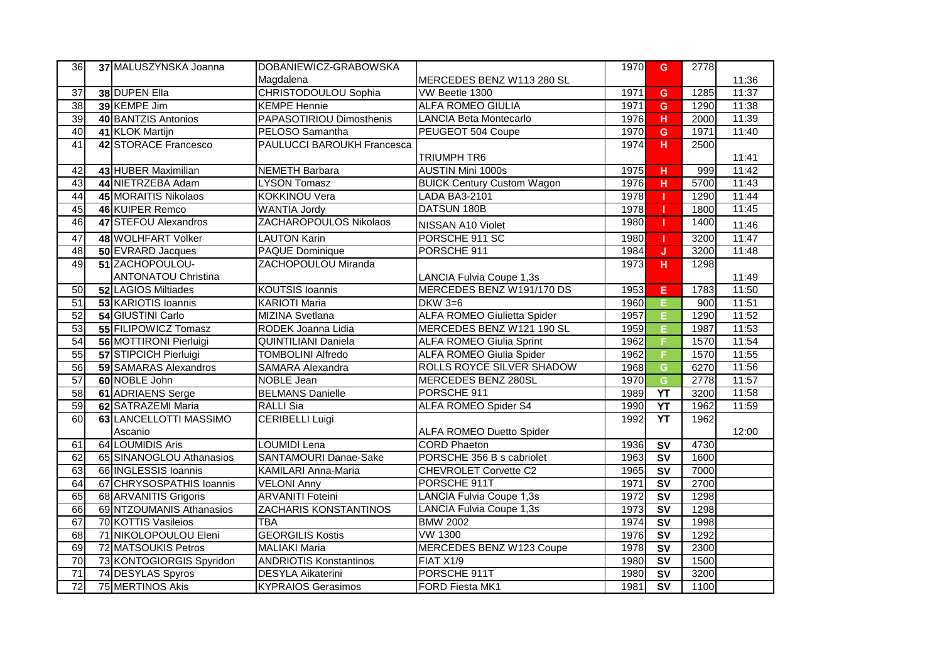| 36              | 37 MALUSZYNSKA Joanna      | DOBANIEWICZ-GRABOWSKA             |                                    | 1970 | G.                                | 2778 |       |
|-----------------|----------------------------|-----------------------------------|------------------------------------|------|-----------------------------------|------|-------|
|                 |                            | Magdalena                         | MERCEDES BENZ W113 280 SL          |      |                                   |      | 11:36 |
| $\overline{37}$ | 38 DUPEN Ella              | CHRISTODOULOU Sophia              | VW Beetle 1300                     | 1971 | G                                 | 1285 | 11:37 |
| 38              | 39 KEMPE Jim               | <b>KEMPE Hennie</b>               | <b>ALFA ROMEO GIULIA</b>           | 1971 | $\mathbf{G}$                      | 1290 | 11:38 |
| 39              | 40 BANTZIS Antonios        | PAPASOTIRIOU Dimosthenis          | <b>LANCIA Beta Montecarlo</b>      | 1976 | H                                 | 2000 | 11:39 |
| 40              | 41 KLOK Martijn            | PELOSO Samantha                   | PEUGEOT 504 Coupe                  | 1970 | G                                 | 1971 | 11:40 |
| $\overline{41}$ | 42 STORACE Francesco       | <b>PAULUCCI BAROUKH Francesca</b> |                                    | 1974 | $\overline{H}$                    | 2500 |       |
|                 |                            |                                   | <b>TRIUMPH TR6</b>                 |      |                                   |      | 11:41 |
| 42              | 43 HUBER Maximilian        | <b>NEMETH Barbara</b>             | <b>AUSTIN Mini 1000s</b>           | 1975 | н                                 | 999  | 11:42 |
| 43              | 44 NIETRZEBA Adam          | <b>LYSON Tomasz</b>               | <b>BUICK Century Custom Wagon</b>  | 1976 | H                                 | 5700 | 11:43 |
| 44              | 45 MORAITIS Nikolaos       | <b>KOKKINOU Vera</b>              | LADA BA3-2101                      | 1978 |                                   | 1290 | 11:44 |
| 45              | 46 KUIPER Remco            | <b>WANTIA Jordy</b>               | <b>DATSUN 180B</b>                 | 1978 | -1                                | 1800 | 11:45 |
| 46              | 47 STEFOU Alexandros       | ZACHAROPOULOS Nikolaos            | NISSAN A10 Violet                  | 1980 | т                                 | 1400 | 11:46 |
| $\overline{47}$ | 48 WOLHFART Volker         | <b>LAUTON Karin</b>               | PORSCHE 911 SC                     | 1980 | т.                                | 3200 | 11:47 |
| 48              | 50 EVRARD Jacques          | PAQUE Dominique                   | PORSCHE 911                        | 1984 | $\overline{\mathsf{J}}$           | 3200 | 11:48 |
| 49              | 51 ZACHOPOULOU-            | ZACHOPOULOU Miranda               |                                    | 1973 | H.                                | 1298 |       |
|                 | <b>ANTONATOU Christina</b> |                                   | LANCIA Fulvia Coupe 1,3s           |      |                                   |      | 11:49 |
| 50              | 52 LAGIOS Miltiades        | <b>KOUTSIS Ioannis</b>            | MERCEDES BENZ W191/170 DS          | 1953 | Е                                 | 1783 | 11:50 |
| $\overline{51}$ | 53 KARIOTIS Ioannis        | <b>KARIOTI Maria</b>              | DKW 3=6                            | 1960 | F.                                | 900  | 11:51 |
| $\overline{52}$ | 54 GIUSTINI Carlo          | MIZINA Svetlana                   | <b>ALFA ROMEO Giulietta Spider</b> | 1957 | E                                 | 1290 | 11:52 |
| 53              | 55 FILIPOWICZ Tomasz       | RODEK Joanna Lidia                | MERCEDES BENZ W121 190 SL          | 1959 | E.                                | 1987 | 11:53 |
| 54              | 56 MOTTIRONI Pierluigi     | <b>QUINTILIANI Daniela</b>        | <b>ALFA ROMEO Giulia Sprint</b>    | 1962 | F.                                | 1570 | 11:54 |
| 55              | 57 STIPCICH Pierluigi      | <b>TOMBOLINI Alfredo</b>          | <b>ALFA ROMEO Giulia Spider</b>    | 1962 | F                                 | 1570 | 11:55 |
| 56              | 59 SAMARAS Alexandros      | SAMARA Alexandra                  | ROLLS ROYCE SILVER SHADOW          | 1968 | G                                 | 6270 | 11:56 |
| $\overline{57}$ | 60 NOBLE John              | <b>NOBLE Jean</b>                 | MERCEDES BENZ 280SL                | 1970 | $\overline{G}$                    | 2778 | 11:57 |
| $\overline{58}$ | 61 ADRIAENS Serge          | <b>BELMANS Danielle</b>           | PORSCHE 911                        | 1989 | $\overline{Y}$                    | 3200 | 11:58 |
| 59              | 62 SATRAZEMI Maria         | <b>RALLI Sia</b>                  | <b>ALFA ROMEO Spider S4</b>        | 1990 | $\overline{Y}$                    | 1962 | 11:59 |
| 60              | 63 LANCELLOTTI MASSIMO     | <b>CERIBELLI Luigi</b>            |                                    | 1992 | <b>YT</b>                         | 1962 |       |
|                 | Ascanio                    |                                   | <b>ALFA ROMEO Duetto Spider</b>    |      |                                   |      | 12:00 |
| 61              | 64 LOUMIDIS Aris           | <b>LOUMIDI Lena</b>               | <b>CORD Phaeton</b>                | 1936 | $\overline{\mathsf{sv}}$          | 4730 |       |
| 62              | 65 SINANOGLOU Athanasios   | SANTAMOURI Danae-Sake             | PORSCHE 356 B s cabriolet          | 1963 | <b>SV</b>                         | 1600 |       |
| 63              | 66 INGLESSIS Ioannis       | KAMILARI Anna-Maria               | CHEVROLET Corvette C2              | 1965 | <b>SV</b>                         | 7000 |       |
| 64              | 67 CHRYSOSPATHIS Ioannis   | <b>VELONI Anny</b>                | PORSCHE 911T                       | 1971 | $\overline{\mathsf{sv}}$          | 2700 |       |
| 65              | 68 ARVANITIS Grigoris      | <b>ARVANITI Foteini</b>           | <b>LANCIA Fulvia Coupe 1,3s</b>    | 1972 | $\overline{\mathsf{sv}}$          | 1298 |       |
| 66              | 69 NTZOUMANIS Athanasios   | <b>ZACHARIS KONSTANTINOS</b>      | LANCIA Fulvia Coupe 1,3s           | 1973 | $\overline{\mathsf{sv}}$          | 1298 |       |
| 67              | 70 KOTTIS Vasileios        | <b>TBA</b>                        | <b>BMW 2002</b>                    | 1974 | <b>SV</b>                         | 1998 |       |
| 68              | 71 NIKOLOPOULOU Eleni      | <b>GEORGILIS Kostis</b>           | <b>VW 1300</b>                     | 1976 | $\overline{\mathsf{s}\mathsf{v}}$ | 1292 |       |
| 69              | 72 MATSOUKIS Petros        | <b>MALIAKI Maria</b>              | <b>MERCEDES BENZ W123 Coupe</b>    | 1978 | $\overline{\mathsf{sv}}$          | 2300 |       |
| 70              | 73 KONTOGIORGIS Spyridon   | <b>ANDRIOTIS Konstantinos</b>     | FIAT X1/9                          | 1980 | <b>SV</b>                         | 1500 |       |
| $\overline{71}$ | 74 DESYLAS Spyros          | <b>DESYLA Aikaterini</b>          | PORSCHE 911T                       | 1980 | <b>SV</b>                         | 3200 |       |
| $\overline{72}$ | 75 MERTINOS Akis           | <b>KYPRAIOS Gerasimos</b>         | <b>FORD Fiesta MK1</b>             | 1981 | $\overline{\mathsf{sv}}$          | 1100 |       |